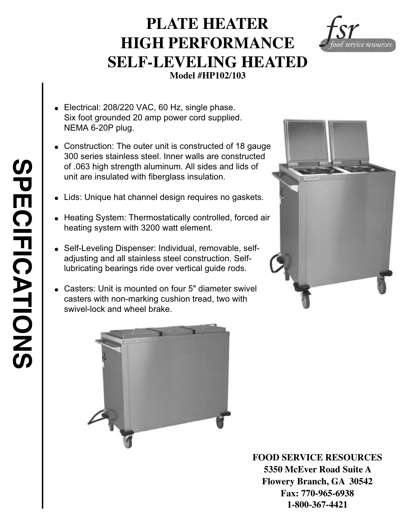## **PLATE HEATER HIGH PERFORMANCE SELF-LEVELING HEATED Model #HP102/103**

- $\bullet$  Electrical: 208/220 VAC, 60 Hz, single phase. Six foot grounded 20 amp power cord supplied. NEMA 6-20P plug.
- Construction: The outer unit is constructed of 18 gauge 300 series stainless steel. Inner walls are constructed of .063 high strength aluminum. All sides and lids of unit are insulated with fiberglass insulation.
- Lids: Unique hat channel design requires no gaskets.
- Heating System: Thermostatically controlled, forced air heating system with 3200 watt element .
- Self-Leveling Dispenser: Individual, removable, selfadjusting and all stainless steel construction. Selflubricating bearings ride over vertical guide rods.
- Casters: Unit is mounted on four 5" diameter swivel casters with non-marking cushion tread, two with swivel-lock and wheel brake.





**FOOD SERVICE RESOURCES 5350 McEver Road Suite A Flowery Branch, GA 30542 Fax: 770-965-6938 1-800-367-4421**